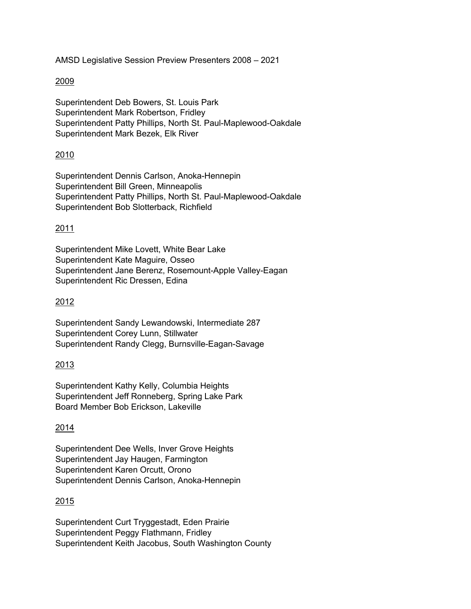AMSD Legislative Session Preview Presenters 2008 – 2021

### 2009

Superintendent Deb Bowers, St. Louis Park Superintendent Mark Robertson, Fridley Superintendent Patty Phillips, North St. Paul-Maplewood-Oakdale Superintendent Mark Bezek, Elk River

### 2010

Superintendent Dennis Carlson, Anoka-Hennepin Superintendent Bill Green, Minneapolis Superintendent Patty Phillips, North St. Paul-Maplewood-Oakdale Superintendent Bob Slotterback, Richfield

### 2011

Superintendent Mike Lovett, White Bear Lake Superintendent Kate Maguire, Osseo Superintendent Jane Berenz, Rosemount-Apple Valley-Eagan Superintendent Ric Dressen, Edina

#### 2012

Superintendent Sandy Lewandowski, Intermediate 287 Superintendent Corey Lunn, Stillwater Superintendent Randy Clegg, Burnsville-Eagan-Savage

#### 2013

Superintendent Kathy Kelly, Columbia Heights Superintendent Jeff Ronneberg, Spring Lake Park Board Member Bob Erickson, Lakeville

## 2014

Superintendent Dee Wells, Inver Grove Heights Superintendent Jay Haugen, Farmington Superintendent Karen Orcutt, Orono Superintendent Dennis Carlson, Anoka-Hennepin

#### 2015

Superintendent Curt Tryggestadt, Eden Prairie Superintendent Peggy Flathmann, Fridley Superintendent Keith Jacobus, South Washington County